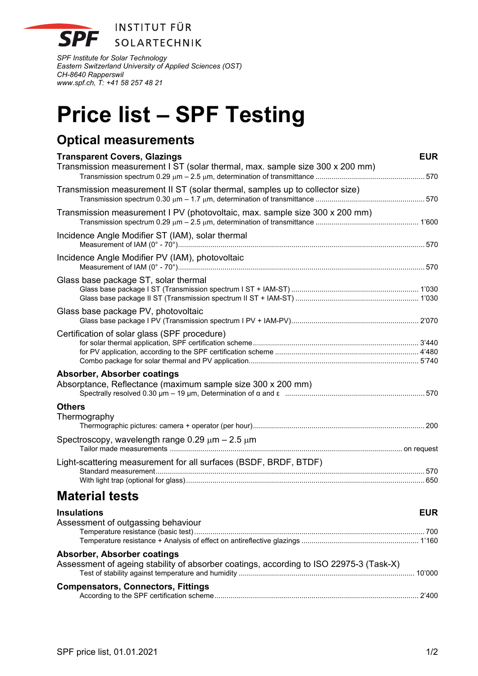

*SPF Institute for Solar Technology Eastern Switzerland University of Applied Sciences (OST) CH-8640 Rapperswil www.spf.ch, T: +41 58 257 48 21* 

# **Price list – SPF Testing**

## **Optical measurements**

| <b>Transparent Covers, Glazings</b><br>Transmission measurement I ST (solar thermal, max. sample size 300 x 200 mm) | <b>EUR</b> |
|---------------------------------------------------------------------------------------------------------------------|------------|
|                                                                                                                     |            |
| Transmission measurement II ST (solar thermal, samples up to collector size)                                        |            |
| Transmission measurement I PV (photovoltaic, max. sample size 300 x 200 mm)                                         |            |
| Incidence Angle Modifier ST (IAM), solar thermal                                                                    |            |
| Incidence Angle Modifier PV (IAM), photovoltaic                                                                     |            |
| Glass base package ST, solar thermal                                                                                |            |
| Glass base package PV, photovoltaic                                                                                 |            |
| Certification of solar glass (SPF procedure)                                                                        |            |
| Absorber, Absorber coatings<br>Absorptance, Reflectance (maximum sample size 300 x 200 mm)                          |            |
| <b>Others</b><br>Thermography                                                                                       |            |
| Spectroscopy, wavelength range $0.29 \mu m - 2.5 \mu m$                                                             |            |
| Light-scattering measurement for all surfaces (BSDF, BRDF, BTDF)                                                    |            |
| <b>Material tests</b>                                                                                               |            |
| <b>Insulations</b><br>Assessment of outgassing behaviour                                                            | <b>EUR</b> |
|                                                                                                                     |            |
| والمترافقات المراجع المتابع والمداد                                                                                 |            |

#### **Absorber, Absorber coatings**

| Assessment of ageing stability of absorber coatings, according to ISO 22975-3 (Task-X) |  |
|----------------------------------------------------------------------------------------|--|
| <b>Compensators, Connectors, Fittings</b>                                              |  |
|                                                                                        |  |